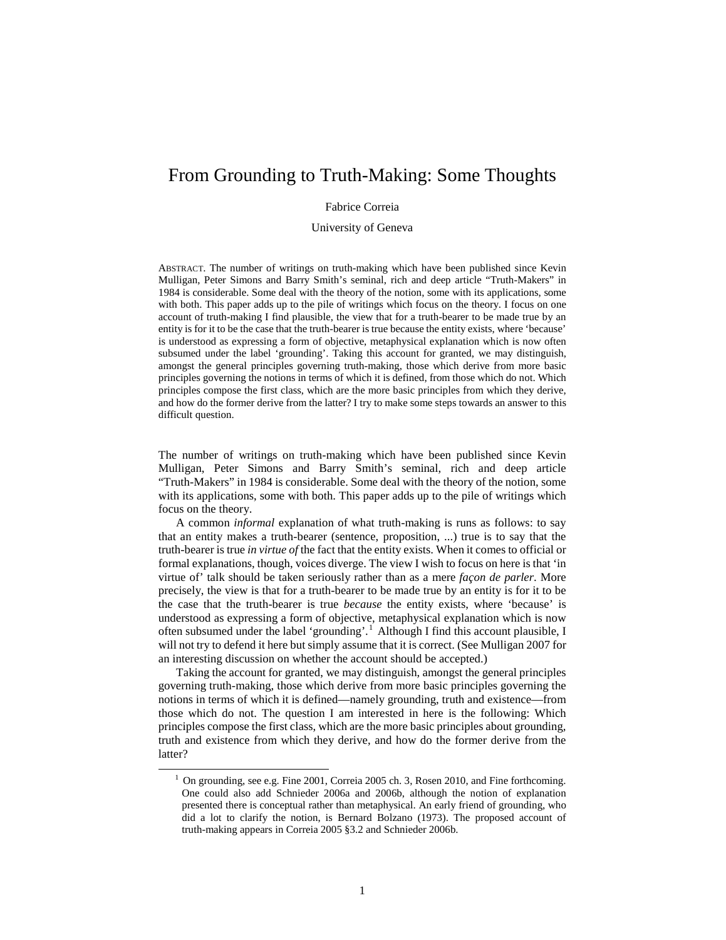# From Grounding to Truth-Making: Some Thoughts

Fabrice Correia

University of Geneva

ABSTRACT. The number of writings on truth-making which have been published since Kevin Mulligan, Peter Simons and Barry Smith's seminal, rich and deep article "Truth-Makers" in 1984 is considerable. Some deal with the theory of the notion, some with its applications, some with both. This paper adds up to the pile of writings which focus on the theory. I focus on one account of truth-making I find plausible, the view that for a truth-bearer to be made true by an entity is for it to be the case that the truth-bearer is true because the entity exists, where 'because' is understood as expressing a form of objective, metaphysical explanation which is now often subsumed under the label 'grounding'. Taking this account for granted, we may distinguish, amongst the general principles governing truth-making, those which derive from more basic principles governing the notions in terms of which it is defined, from those which do not. Which principles compose the first class, which are the more basic principles from which they derive, and how do the former derive from the latter? I try to make some steps towards an answer to this difficult question.

The number of writings on truth-making which have been published since Kevin Mulligan, Peter Simons and Barry Smith's seminal, rich and deep article "Truth-Makers" in 1984 is considerable. Some deal with the theory of the notion, some with its applications, some with both. This paper adds up to the pile of writings which focus on the theory.

A common *informal* explanation of what truth-making is runs as follows: to say that an entity makes a truth-bearer (sentence, proposition, ...) true is to say that the truth-bearer is true *in virtue of* the fact that the entity exists. When it comes to official or formal explanations, though, voices diverge. The view I wish to focus on here is that 'in virtue of' talk should be taken seriously rather than as a mere *façon de parler*. More precisely, the view is that for a truth-bearer to be made true by an entity is for it to be the case that the truth-bearer is true *because* the entity exists, where 'because' is understood as expressing a form of objective, metaphysical explanation which is now often subsumed under the label 'grounding'.<sup>[1](#page-0-0)</sup> Although I find this account plausible, I will not try to defend it here but simply assume that it is correct. (See Mulligan 2007 for an interesting discussion on whether the account should be accepted.)

Taking the account for granted, we may distinguish, amongst the general principles governing truth-making, those which derive from more basic principles governing the notions in terms of which it is defined—namely grounding, truth and existence—from those which do not. The question I am interested in here is the following: Which principles compose the first class, which are the more basic principles about grounding, truth and existence from which they derive, and how do the former derive from the latter?

<span id="page-0-0"></span> $1$  On grounding, see e.g. Fine 2001, Correia 2005 ch. 3, Rosen 2010, and Fine forthcoming. One could also add Schnieder 2006a and 2006b, although the notion of explanation presented there is conceptual rather than metaphysical. An early friend of grounding, who did a lot to clarify the notion, is Bernard Bolzano (1973). The proposed account of truth-making appears in Correia 2005 §3.2 and Schnieder 2006b.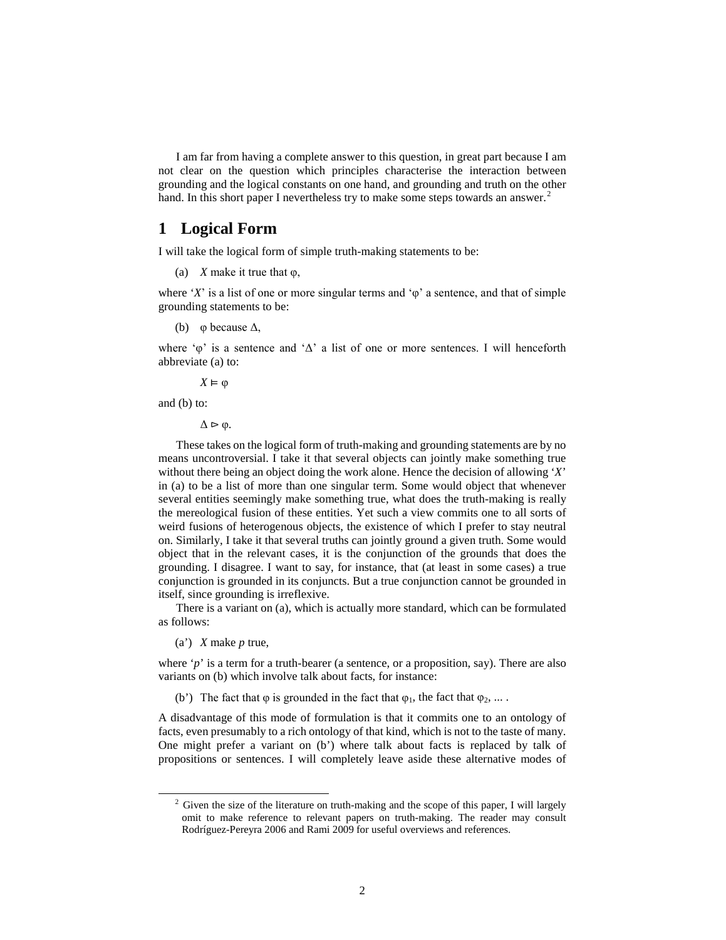I am far from having a complete answer to this question, in great part because I am not clear on the question which principles characterise the interaction between grounding and the logical constants on one hand, and grounding and truth on the other hand. In this short paper I nevertheless try to make some steps towards an answer.<sup>[2](#page-1-0)</sup>

#### **1 Logical Form**

I will take the logical form of simple truth-making statements to be:

(a) *X* make it true that  $\varphi$ ,

where '*X*' is a list of one or more singular terms and ' $\varphi$ ' a sentence, and that of simple grounding statements to be:

(b)  $\phi$  because  $\Delta$ ,

where ' $\varphi$ ' is a sentence and ' $\Delta$ ' a list of one or more sentences. I will henceforth abbreviate (a) to:

*X* ⊨ φ

and (b) to:

 $Δ$   $\triangleright$   $φ$ .

These takes on the logical form of truth-making and grounding statements are by no means uncontroversial. I take it that several objects can jointly make something true without there being an object doing the work alone. Hence the decision of allowing '*X*' in (a) to be a list of more than one singular term. Some would object that whenever several entities seemingly make something true, what does the truth-making is really the mereological fusion of these entities. Yet such a view commits one to all sorts of weird fusions of heterogenous objects, the existence of which I prefer to stay neutral on. Similarly, I take it that several truths can jointly ground a given truth. Some would object that in the relevant cases, it is the conjunction of the grounds that does the grounding. I disagree. I want to say, for instance, that (at least in some cases) a true conjunction is grounded in its conjuncts. But a true conjunction cannot be grounded in itself, since grounding is irreflexive.

There is a variant on (a), which is actually more standard, which can be formulated as follows:

(a') *X* make *p* true,

where '*p*' is a term for a truth-bearer (a sentence, or a proposition, say). There are also variants on (b) which involve talk about facts, for instance:

(b') The fact that  $\varphi$  is grounded in the fact that  $\varphi_1$ , the fact that  $\varphi_2, \ldots$ .

A disadvantage of this mode of formulation is that it commits one to an ontology of facts, even presumably to a rich ontology of that kind, which is not to the taste of many. One might prefer a variant on (b') where talk about facts is replaced by talk of propositions or sentences. I will completely leave aside these alternative modes of

<span id="page-1-0"></span> $2$  Given the size of the literature on truth-making and the scope of this paper, I will largely omit to make reference to relevant papers on truth-making. The reader may consult Rodríguez-Pereyra 2006 and Rami 2009 for useful overviews and references.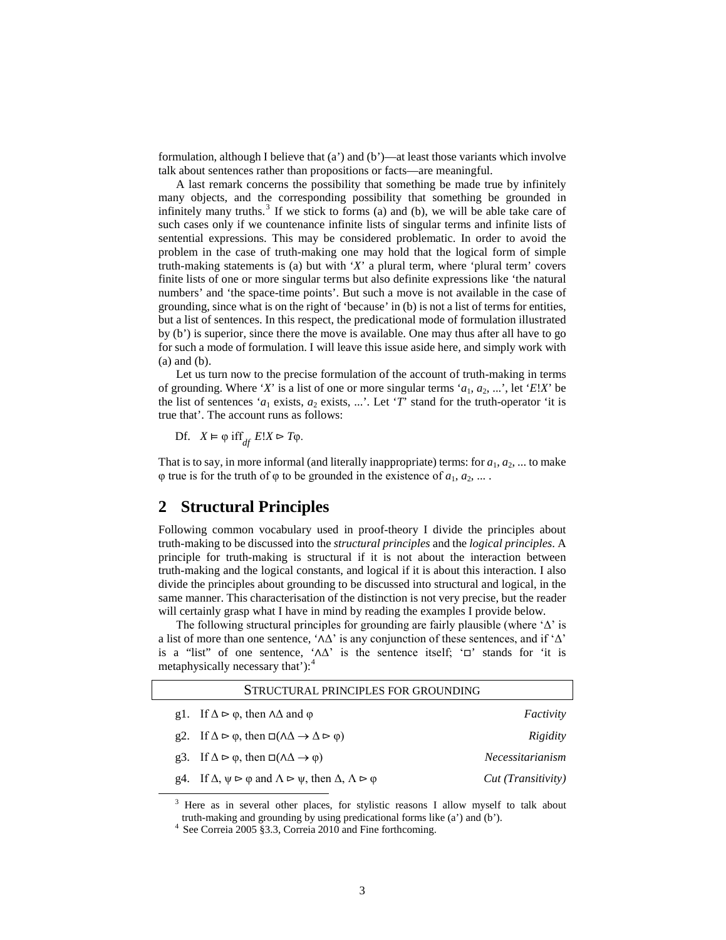formulation, although I believe that (a') and (b')—at least those variants which involve talk about sentences rather than propositions or facts—are meaningful.

A last remark concerns the possibility that something be made true by infinitely many objects, and the corresponding possibility that something be grounded in infinitely many truths.<sup>[3](#page-2-0)</sup> If we stick to forms (a) and (b), we will be able take care of such cases only if we countenance infinite lists of singular terms and infinite lists of sentential expressions. This may be considered problematic. In order to avoid the problem in the case of truth-making one may hold that the logical form of simple truth-making statements is (a) but with '*X*' a plural term, where 'plural term' covers finite lists of one or more singular terms but also definite expressions like 'the natural numbers' and 'the space-time points'. But such a move is not available in the case of grounding, since what is on the right of 'because' in (b) is not a list of terms for entities, but a list of sentences. In this respect, the predicational mode of formulation illustrated by (b') is superior, since there the move is available. One may thus after all have to go for such a mode of formulation. I will leave this issue aside here, and simply work with (a) and (b).

Let us turn now to the precise formulation of the account of truth-making in terms of grounding. Where '*X*' is a list of one or more singular terms ' $a_1, a_2, ...$ ', let '*E*!*X*' be the list of sentences ' $a_1$  exists,  $a_2$  exists, ...'. Let '*T*' stand for the truth-operator 'it is true that'. The account runs as follows:

Df. *X* ⊨ φ iff<sub>*df</sub>*  $E!X$  ⊳ *T*φ.</sub>

That is to say, in more informal (and literally inappropriate) terms: for  $a_1, a_2, \ldots$  to make φ true is for the truth of  $\varphi$  to be grounded in the existence of  $a_1, a_2, ...$ .

## **2 Structural Principles**

Following common vocabulary used in proof-theory I divide the principles about truth-making to be discussed into the *structural principles* and the *logical principles*. A principle for truth-making is structural if it is not about the interaction between truth-making and the logical constants, and logical if it is about this interaction. I also divide the principles about grounding to be discussed into structural and logical, in the same manner. This characterisation of the distinction is not very precise, but the reader will certainly grasp what I have in mind by reading the examples I provide below.

The following structural principles for grounding are fairly plausible (where ' $\Delta$ ' is a list of more than one sentence, ' $\wedge \Delta'$  is any conjunction of these sentences, and if ' $\Delta'$ ' is a "list" of one sentence, '∧Δ' is the sentence itself; '□' stands for 'it is metaphysically necessary that'):<sup>[4](#page-2-1)</sup>

| STRUCTURAL PRINCIPLES FOR GROUNDING                                                                                                  |                           |  |
|--------------------------------------------------------------------------------------------------------------------------------------|---------------------------|--|
| g1. If $\Delta \triangleright \varphi$ , then $\wedge \Delta$ and $\varphi$                                                          | Factivity                 |  |
| g2. If $\Delta \triangleright \varphi$ , then $\square(\wedge \Delta \rightarrow \Delta \triangleright \varphi)$                     | Rigidity                  |  |
| g3. If $\Delta \triangleright \varphi$ , then $\square(\wedge \Delta \rightarrow \varphi)$                                           | <i>Necessitarianism</i>   |  |
| g4. If $\Delta$ , $\psi \triangleright \varphi$ and $\Lambda \triangleright \psi$ , then $\Delta$ , $\Lambda \triangleright \varphi$ | <i>Cut (Transitivity)</i> |  |

<span id="page-2-0"></span><sup>3</sup> Here as in several other places, for stylistic reasons I allow myself to talk about truth-making and grounding by using predicational forms like (a') and (b'). <sup>4</sup> See Correia 2005 §3.3, Correia 2010 and Fine forthcoming.

<span id="page-2-1"></span>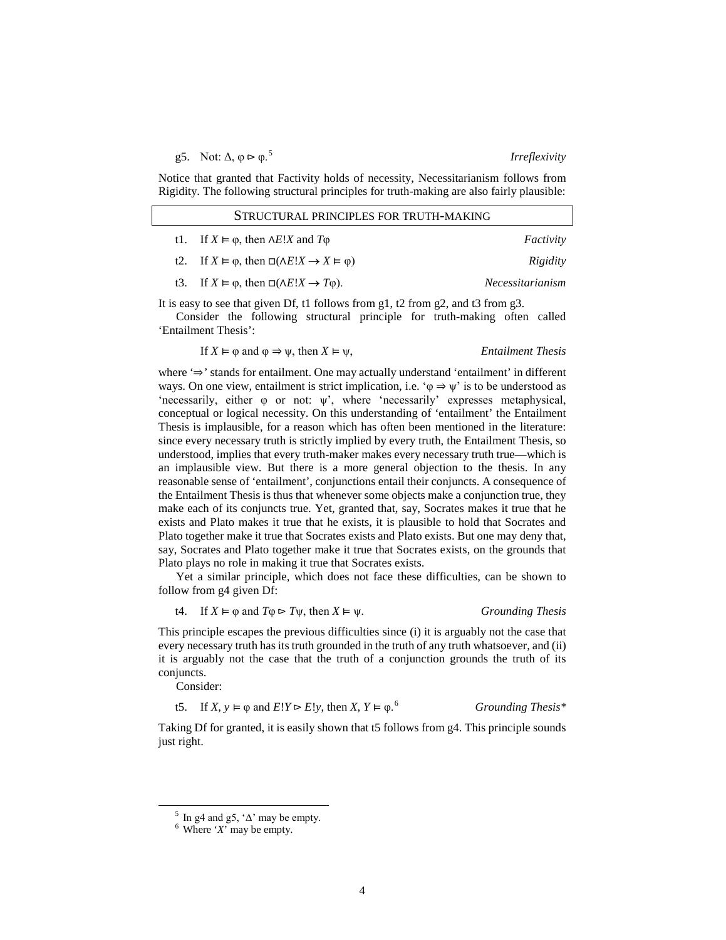g[5](#page-3-0). Not:  $\Delta$ ,  $\varphi \triangleright \varphi$ .<sup>5</sup>

*Irreflexivity*

Notice that granted that Factivity holds of necessity, Necessitarianism follows from Rigidity. The following structural principles for truth-making are also fairly plausible:

| STRUCTURAL PRINCIPLES FOR TRUTH-MAKING |                                                                                        |                         |
|----------------------------------------|----------------------------------------------------------------------------------------|-------------------------|
|                                        | t1. If $X \vDash \varphi$ , then $\wedge E!X$ and $T\varphi$                           | Factivity               |
|                                        | t2. If $X \vDash \varphi$ , then $\square(\triangle E!X \rightarrow X \vDash \varphi)$ | Rigidity                |
|                                        | t3. If $X \vDash \varphi$ , then $\square (\wedge E!X \to T\varphi)$ .                 | <i>Necessitarianism</i> |

It is easy to see that given Df, t1 follows from g1, t2 from g2, and t3 from g3.

Consider the following structural principle for truth-making often called 'Entailment Thesis':

If  $X \vDash \varphi$  and  $\varphi \Rightarrow \psi$ , then  $X \vDash \psi$ , *Entailment Thesis* 

where '⇒' stands for entailment. One may actually understand 'entailment' in different ways. On one view, entailment is strict implication, i.e. ' $\varphi \Rightarrow \psi'$  is to be understood as 'necessarily, either φ or not: ψ', where 'necessarily' expresses metaphysical, conceptual or logical necessity. On this understanding of 'entailment' the Entailment Thesis is implausible, for a reason which has often been mentioned in the literature: since every necessary truth is strictly implied by every truth, the Entailment Thesis, so understood, implies that every truth-maker makes every necessary truth true—which is an implausible view. But there is a more general objection to the thesis. In any reasonable sense of 'entailment', conjunctions entail their conjuncts. A consequence of the Entailment Thesis is thus that whenever some objects make a conjunction true, they make each of its conjuncts true. Yet, granted that, say, Socrates makes it true that he exists and Plato makes it true that he exists, it is plausible to hold that Socrates and Plato together make it true that Socrates exists and Plato exists. But one may deny that, say, Socrates and Plato together make it true that Socrates exists, on the grounds that Plato plays no role in making it true that Socrates exists.

Yet a similar principle, which does not face these difficulties, can be shown to follow from g4 given Df:

t4. If  $X \vDash \varphi$  and  $T\varphi \rightharpoonup T\psi$ , then  $X \vDash \psi$ . *Grounding Thesis* 

This principle escapes the previous difficulties since (i) it is arguably not the case that every necessary truth has its truth grounded in the truth of any truth whatsoever, and (ii) it is arguably not the case that the truth of a conjunction grounds the truth of its conjuncts.

Consider:

t5. If 
$$
X, y \vDash \varphi
$$
 and  $E!Y \triangleright E!y$ , then  $X, Y \vDash \varphi$ .<sup>6</sup> *Grounding Thesis\**

Taking Df for granted, it is easily shown that t5 follows from g4. This principle sounds just right.

<span id="page-3-1"></span><span id="page-3-0"></span> $\frac{5}{6}$  In g4 and g5, ' $\Delta$ ' may be empty.<br><sup>6</sup> Where '*X*' may be empty.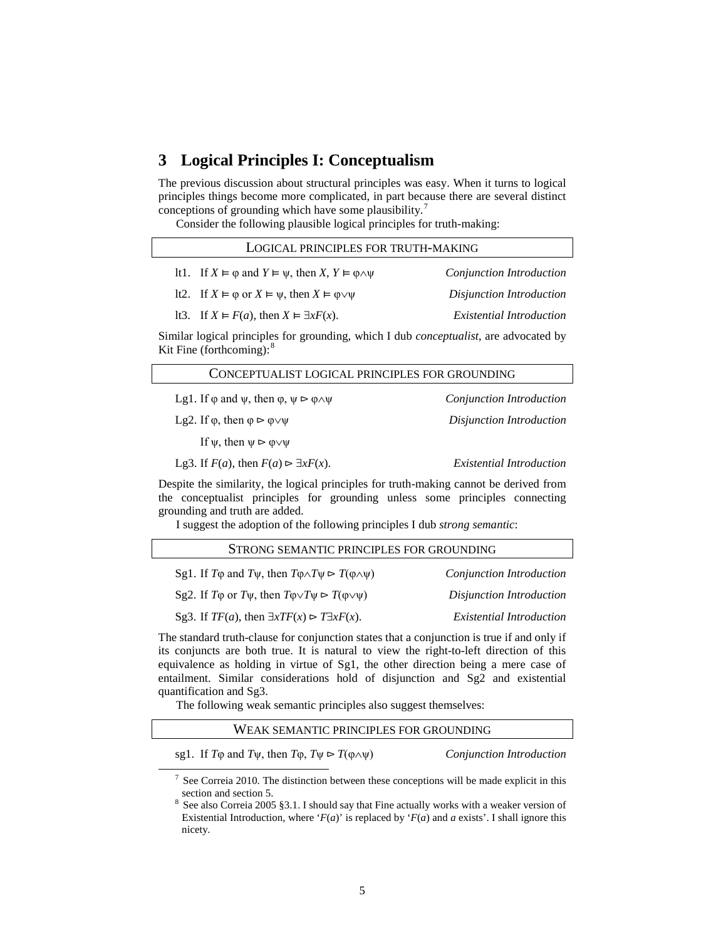## **3 Logical Principles I: Conceptualism**

The previous discussion about structural principles was easy. When it turns to logical principles things become more complicated, in part because there are several distinct conceptions of grounding which have some plausibility.<sup>[7](#page-4-0)</sup>

Consider the following plausible logical principles for truth-making:

| LOGICAL PRINCIPLES FOR TRUTH-MAKING                                                                                          |                                                                                        |                          |
|------------------------------------------------------------------------------------------------------------------------------|----------------------------------------------------------------------------------------|--------------------------|
|                                                                                                                              | It1. If $X \vDash \varphi$ and $Y \vDash \psi$ , then $X, Y \vDash \varphi \land \psi$ | Conjunction Introduction |
|                                                                                                                              | It2. If $X \vDash \varphi$ or $X \vDash \psi$ , then $X \vDash \varphi \lor \psi$      | Disjunction Introduction |
|                                                                                                                              | 1t3. If $X \vDash F(a)$ , then $X \vDash \exists x F(x)$ .                             | Existential Introduction |
| Similar logical principles for grounding, which I dub <i>conceptualist</i> , are advocated by<br>Kit Fine (forthcoming): $8$ |                                                                                        |                          |
| ONCEPTUALIST LOGICAL PRINCIPLES FOR GROUNDING                                                                                |                                                                                        |                          |

| Lg1. If $\varphi$ and $\psi$ , then $\varphi$ , $\psi \triangleright \varphi \wedge \psi$                                                                              | Conjunction Introduction |
|------------------------------------------------------------------------------------------------------------------------------------------------------------------------|--------------------------|
| Lg2. If $\varphi$ , then $\varphi \triangleright \varphi \triangleright \psi$                                                                                          | Disjunction Introduction |
| If $\psi$ , then $\psi \triangleright \varphi \vee \psi$                                                                                                               |                          |
| Lg3. If $F(a)$ , then $F(a) \rightharpoonup \exists x F(x)$ .                                                                                                          | Existential Introduction |
| Despite the similarity, the logical principles for truth-making cannot be derived from<br>the conceptualist principles for grounding unless some principles connecting |                          |

the conceptualist principles for grounding unless some principles connecting grounding and truth are added.

I suggest the adoption of the following principles I dub *strong semantic*:

| STRONG SEMANTIC PRINCIPLES FOR GROUNDING                                                                                                 |                                 |
|------------------------------------------------------------------------------------------------------------------------------------------|---------------------------------|
| Sg1. If T <sub><math>\phi</math></sub> and T <sub><math>\psi</math></sub> , then $T\phi \wedge T\psi \triangleright T(\phi \wedge \psi)$ | Conjunction Introduction        |
| Sg2. If $T\varphi$ or $T\psi$ , then $T\varphi \vee T\psi \triangleright T(\varphi \vee \psi)$                                           | Disjunction Introduction        |
| Sg3. If $TF(a)$ , then $\exists xTF(x) \triangleright T \exists xF(x)$ .                                                                 | <i>Existential Introduction</i> |

The standard truth-clause for conjunction states that a conjunction is true if and only if its conjuncts are both true. It is natural to view the right-to-left direction of this equivalence as holding in virtue of Sg1, the other direction being a mere case of entailment. Similar considerations hold of disjunction and Sg2 and existential quantification and Sg3.

The following weak semantic principles also suggest themselves:

#### WEAK SEMANTIC PRINCIPLES FOR GROUNDING

sg1. If *T*φ and *T*ψ, then *T*φ, *T*ψ ⊳ *T*(φ∧ψ) *Conjunction Introduction*

<span id="page-4-0"></span> $7$  See Correia 2010. The distinction between these conceptions will be made explicit in this section and section 5.

<span id="page-4-1"></span><sup>8</sup> See also Correia 2005 §3.1. I should say that Fine actually works with a weaker version of Existential Introduction, where ' $F(a)$ ' is replaced by ' $F(a)$  and  $a$  exists'. I shall ignore this nicety.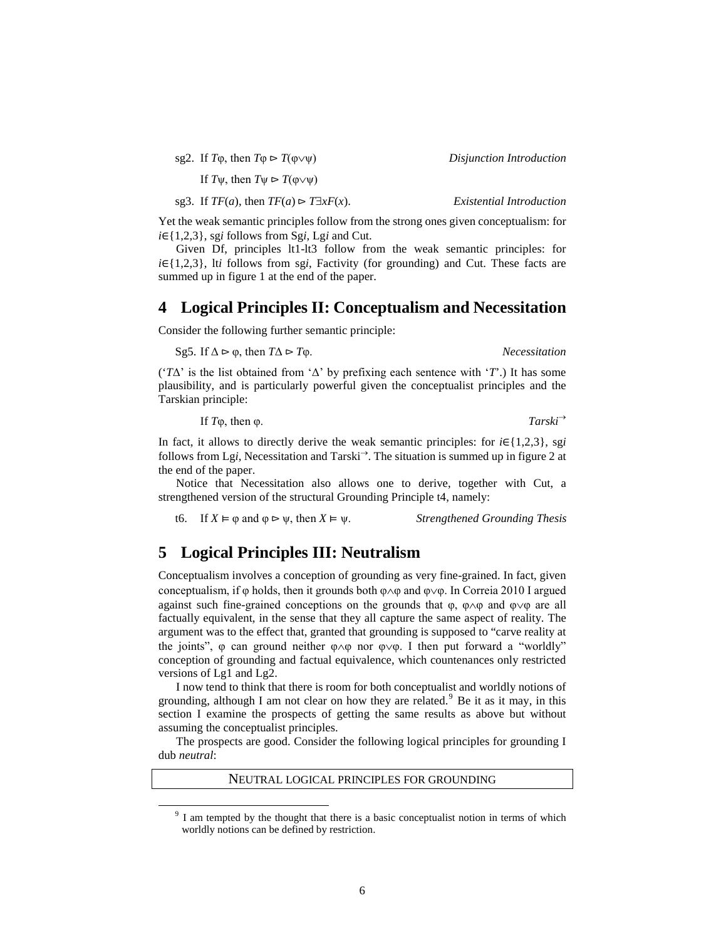sg2. If *T*φ, then *T*φ ⊳ *T*(φ∨ψ) *Disjunction Introduction*

If  $T\psi$ , then  $T\psi \geq T(\phi \vee \psi)$ 

sg3. If *TF*(*a*), then *TF*(*a*) ⊳ *T*∃*xF*(*x*). *Existential Introduction*

Yet the weak semantic principles follow from the strong ones given conceptualism: for *i*∈{1,2,3}, sg*i* follows from Sg*i*, Lg*i* and Cut.

Given Df, principles lt1-lt3 follow from the weak semantic principles: for *i*∈{1,2,3}, lt*i* follows from sg*i*, Factivity (for grounding) and Cut. These facts are summed up in figure 1 at the end of the paper.

## **4 Logical Principles II: Conceptualism and Necessitation**

Consider the following further semantic principle:

Sg5. If  $\Delta \rhd \varphi$ , then  $T\Delta \rhd T\varphi$ . *Necessitation* 

( $T\Delta$ ' is the list obtained from ' $\Delta$ ' by prefixing each sentence with '*T*'.) It has some plausibility, and is particularly powerful given the conceptualist principles and the Tarskian principle:

If  $T$ φ, then φ.

 $Tarski^{\rightarrow}$ 

In fact, it allows to directly derive the weak semantic principles: for  $i \in \{1,2,3\}$ , sg*i* follows from Lg*i*, Necessitation and Tarski<sup>→</sup>. The situation is summed up in figure 2 at the end of the paper.

Notice that Necessitation also allows one to derive, together with Cut, a strengthened version of the structural Grounding Principle t4, namely:

t6. If  $X \vDash \varphi$  and  $\varphi \vDash \psi$ , then  $X \vDash \psi$ . *Strengthened Grounding Thesis* 

## **5 Logical Principles III: Neutralism**

Conceptualism involves a conception of grounding as very fine-grained. In fact, given conceptualism, if φ holds, then it grounds both φ∧φ and φ∨φ. In Correia 2010 I argued against such fine-grained conceptions on the grounds that  $\varphi$ ,  $\varphi \wedge \varphi$  and  $\varphi \vee \varphi$  are all factually equivalent, in the sense that they all capture the same aspect of reality. The argument was to the effect that, granted that grounding is supposed to "carve reality at the joints", φ can ground neither φ∧φ nor φ∨φ. I then put forward a "worldly" conception of grounding and factual equivalence, which countenances only restricted versions of Lg1 and Lg2.

I now tend to think that there is room for both conceptualist and worldly notions of grounding, although I am not clear on how they are related.<sup>[9](#page-5-0)</sup> Be it as it may, in this section I examine the prospects of getting the same results as above but without assuming the conceptualist principles.

The prospects are good. Consider the following logical principles for grounding I dub *neutral*:

NEUTRAL LOGICAL PRINCIPLES FOR GROUNDING

<span id="page-5-0"></span><sup>&</sup>lt;sup>9</sup> I am tempted by the thought that there is a basic conceptualist notion in terms of which worldly notions can be defined by restriction.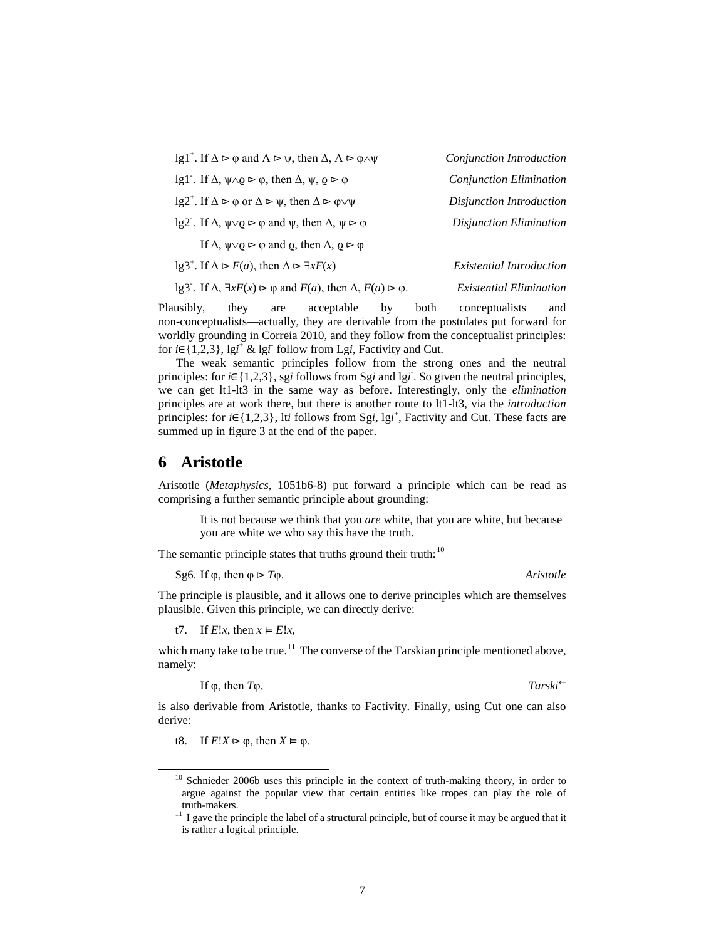| lg1 <sup>+</sup> . If $\Delta \triangleright \varphi$ and $\Lambda \triangleright \psi$ , then $\Delta$ , $\Lambda \triangleright \varphi \wedge \psi$ | Conjunction Introduction        |
|--------------------------------------------------------------------------------------------------------------------------------------------------------|---------------------------------|
| lg1. If $\Delta$ , $\psi \wedge \varrho \triangleright \varphi$ , then $\Delta$ , $\psi$ , $\varrho \triangleright \varphi$                            | Conjunction Elimination         |
| $\lg 2^{\dagger}$ . If $\Delta \rhd \varphi$ or $\Delta \rhd \psi$ , then $\Delta \rhd \varphi \vee \psi$                                              | Disjunction Introduction        |
| 1g2. If $\Delta$ , $\psi \vee \varphi \triangleright \varphi$ and $\psi$ , then $\Delta$ , $\psi \triangleright \varphi$                               | Disjunction Elimination         |
| If $\Delta$ , $\psi \vee \varrho \triangleright \varphi$ and $\varrho$ , then $\Delta$ , $\varrho \triangleright \varphi$                              |                                 |
| $\lg 3^{\text{+}}$ . If $\Delta \triangleright F(a)$ , then $\Delta \triangleright \exists x F(x)$                                                     | <i>Existential Introduction</i> |
| lg3. If $\Delta$ , $\exists x F(x) \ge \varphi$ and $F(a)$ , then $\Delta$ , $F(a) \ge \varphi$ .                                                      | <i>Existential Elimination</i>  |

Plausibly, they are acceptable by both conceptualists and non-conceptualists—actually, they are derivable from the postulates put forward for worldly grounding in Correia 2010, and they follow from the conceptualist principles: for  $i \in \{1,2,3\}$ ,  $\lg i^+ \& \lg i$  follow from Lg*i*, Factivity and Cut.

The weak semantic principles follow from the strong ones and the neutral principles: for *i*∈{1,2,3}, sg*i* follows from Sg*i* and lg*i* - . So given the neutral principles, we can get lt1-lt3 in the same way as before. Interestingly, only the *elimination* principles are at work there, but there is another route to lt1-lt3, via the *introduction* principles: for *i*∈{1,2,3}, lt*i* follows from Sg*i*, lg*i*<sup>+</sup>, Factivity and Cut. These facts are summed up in figure 3 at the end of the paper.

### **6 Aristotle**

Aristotle (*Metaphysics*, 1051b6-8) put forward a principle which can be read as comprising a further semantic principle about grounding:

> It is not because we think that you *are* white, that you are white, but because you are white we who say this have the truth.

The semantic principle states that truths ground their truth:  $10$ 

Sg6. If φ, then φ ⊳ *T*φ. *Aristotle*

The principle is plausible, and it allows one to derive principles which are themselves plausible. Given this principle, we can directly derive:

t7. If  $E!x$ , then  $x \in E!x$ ,

which many take to be true.<sup>[11](#page-6-1)</sup> The converse of the Tarskian principle mentioned above, namely:

If φ, then *T*φ, *Tarski*<sup>←</sup>

<span id="page-6-0"></span>is also derivable from Aristotle, thanks to Factivity. Finally, using Cut one can also derive:

t8. If  $E!X \triangleright \varphi$ , then  $X \models \varphi$ .

 $10$  Schnieder 2006b uses this principle in the context of truth-making theory, in order to argue against the popular view that certain entities like tropes can play the role of

<span id="page-6-1"></span> $11$  I gave the principle the label of a structural principle, but of course it may be argued that it is rather a logical principle.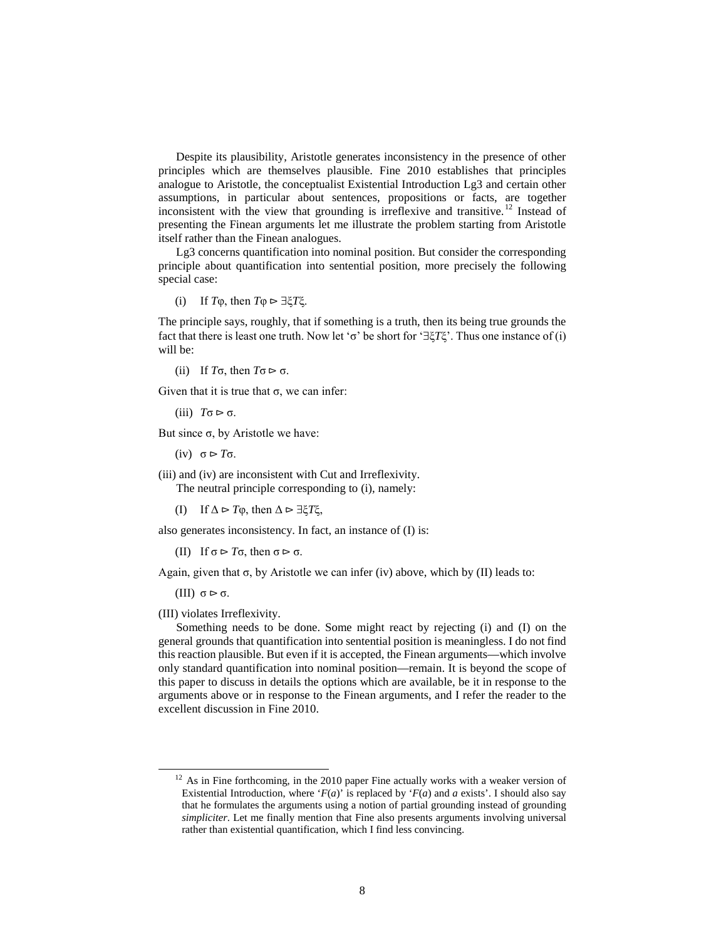Despite its plausibility, Aristotle generates inconsistency in the presence of other principles which are themselves plausible. Fine 2010 establishes that principles analogue to Aristotle, the conceptualist Existential Introduction Lg3 and certain other assumptions, in particular about sentences, propositions or facts, are together inconsistent with the view that grounding is irreflexive and transitive.<sup>[12](#page-7-0)</sup> Instead of presenting the Finean arguments let me illustrate the problem starting from Aristotle itself rather than the Finean analogues.

Lg3 concerns quantification into nominal position. But consider the corresponding principle about quantification into sentential position, more precisely the following special case:

(i) If *T*φ, then *T*φ ⊳ ∃ξ*T*ξ.

The principle says, roughly, that if something is a truth, then its being true grounds the fact that there is least one truth. Now let 'σ' be short for '∃ξ*T*ξ'. Thus one instance of (i) will be:

(ii) If *T*σ, then *T*σ ⊳ σ.

Given that it is true that  $\sigma$ , we can infer:

(iii) *T*σ ⊳ σ.

But since  $\sigma$ , by Aristotle we have:

(iv) σ ⊳ *T*σ.

(iii) and (iv) are inconsistent with Cut and Irreflexivity. The neutral principle corresponding to (i), namely:

(I) If Δ ⊳ *T*φ, then Δ ⊳ ∃ξ*T*ξ,

also generates inconsistency. In fact, an instance of (I) is:

(II) If σ ⊳ *T*σ, then σ ⊳ σ.

Again, given that  $\sigma$ , by Aristotle we can infer (iv) above, which by (II) leads to:

(III) σ ⊳ σ.

(III) violates Irreflexivity.

Something needs to be done. Some might react by rejecting (i) and (I) on the general grounds that quantification into sentential position is meaningless. I do not find this reaction plausible. But even if it is accepted, the Finean arguments—which involve only standard quantification into nominal position—remain. It is beyond the scope of this paper to discuss in details the options which are available, be it in response to the arguments above or in response to the Finean arguments, and I refer the reader to the excellent discussion in Fine 2010.

<span id="page-7-0"></span> $12$  As in Fine forthcoming, in the 2010 paper Fine actually works with a weaker version of Existential Introduction, where ' $F(a)$ ' is replaced by ' $F(a)$  and a exists'. I should also say that he formulates the arguments using a notion of partial grounding instead of grounding *simpliciter*. Let me finally mention that Fine also presents arguments involving universal rather than existential quantification, which I find less convincing.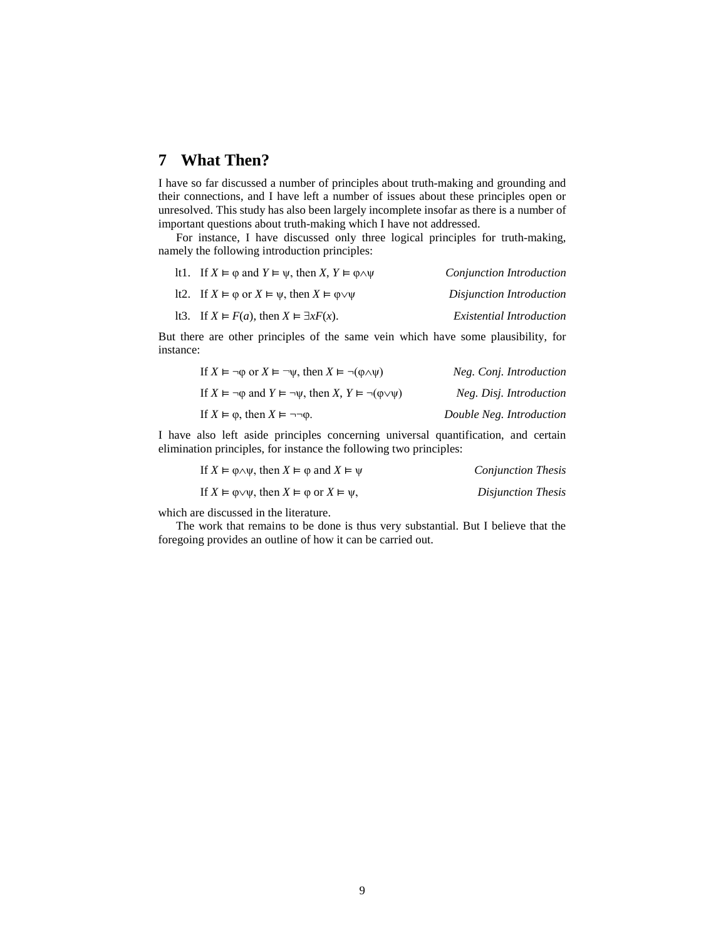## **7 What Then?**

I have so far discussed a number of principles about truth-making and grounding and their connections, and I have left a number of issues about these principles open or unresolved. This study has also been largely incomplete insofar as there is a number of important questions about truth-making which I have not addressed.

For instance, I have discussed only three logical principles for truth-making, namely the following introduction principles:

| It1. If $X \vDash \varphi$ and $Y \vDash \psi$ , then $X, Y \vDash \varphi \land \psi$ | Conjunction Introduction        |
|----------------------------------------------------------------------------------------|---------------------------------|
| It2. If $X \vDash \varphi$ or $X \vDash \psi$ , then $X \vDash \varphi \vee \psi$      | Disjunction Introduction        |
| It3. If $X \vDash F(a)$ , then $X \vDash \exists x F(x)$ .                             | <i>Existential Introduction</i> |

But there are other principles of the same vein which have some plausibility, for instance:

| If $X \vDash \neg \varphi$ or $X \vDash \neg \psi$ , then $X \vDash \neg (\varphi \land \psi)$   | Neg. Conj. Introduction  |
|--------------------------------------------------------------------------------------------------|--------------------------|
| If $X \vDash \neg \varphi$ and $Y \vDash \neg \psi$ , then $X, Y \vDash \neg(\varphi \lor \psi)$ | Neg. Disj. Introduction  |
| If $X \vDash \varphi$ , then $X \vDash \neg \neg \varphi$ .                                      | Double Neg. Introduction |

I have also left aside principles concerning universal quantification, and certain elimination principles, for instance the following two principles:

| If $X \vDash \varphi \land \psi$ , then $X \vDash \varphi$ and $X \vDash \psi$ | <b>Conjunction Thesis</b> |
|--------------------------------------------------------------------------------|---------------------------|
| If $X \vDash \varphi \lor \psi$ , then $X \vDash \varphi$ or $X \vDash \psi$ , | <b>Disjunction Thesis</b> |

which are discussed in the literature.

The work that remains to be done is thus very substantial. But I believe that the foregoing provides an outline of how it can be carried out.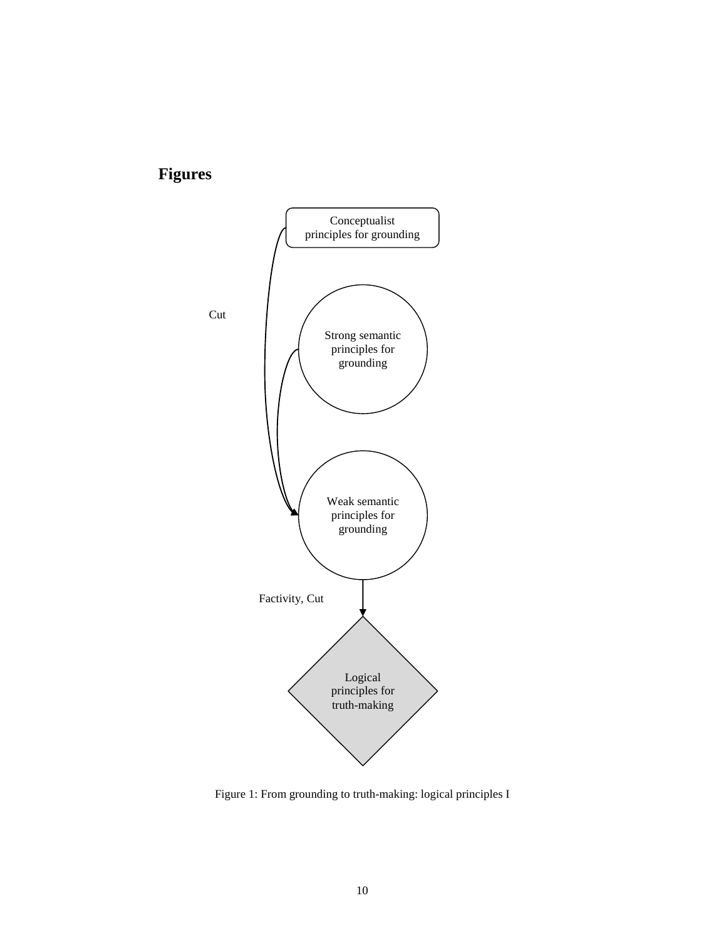**Figures**



Figure 1: From grounding to truth-making: logical principles I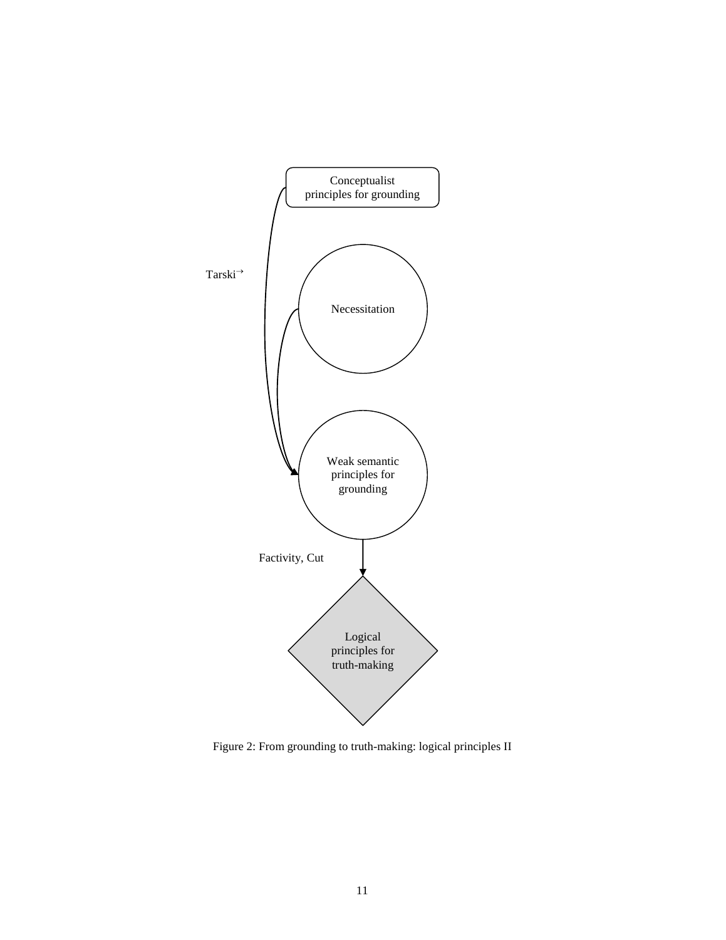

Figure 2: From grounding to truth-making: logical principles II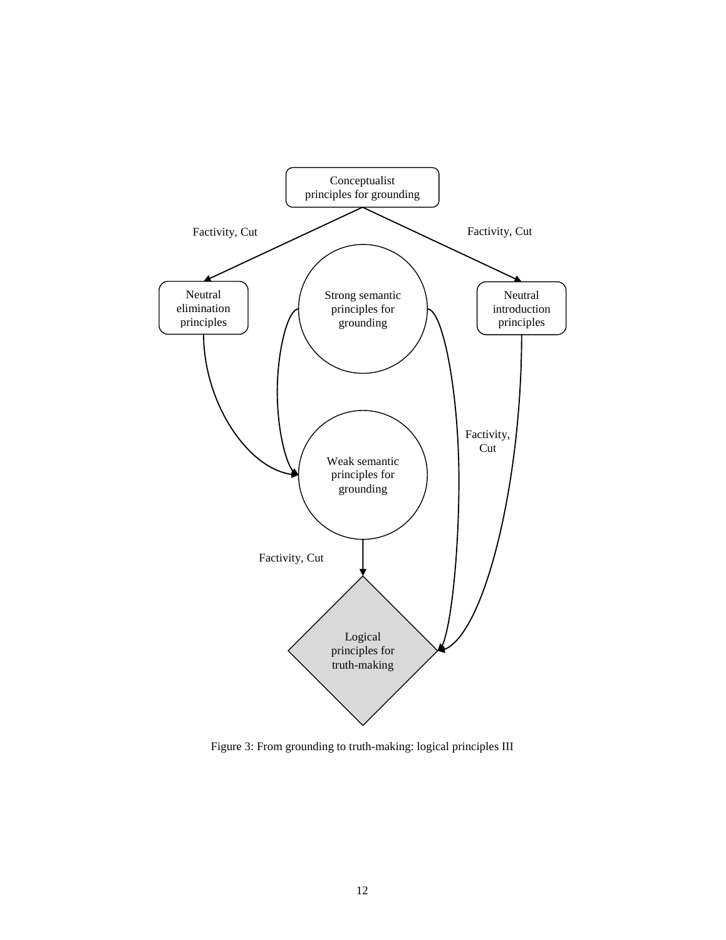

Figure 3: From grounding to truth-making: logical principles III